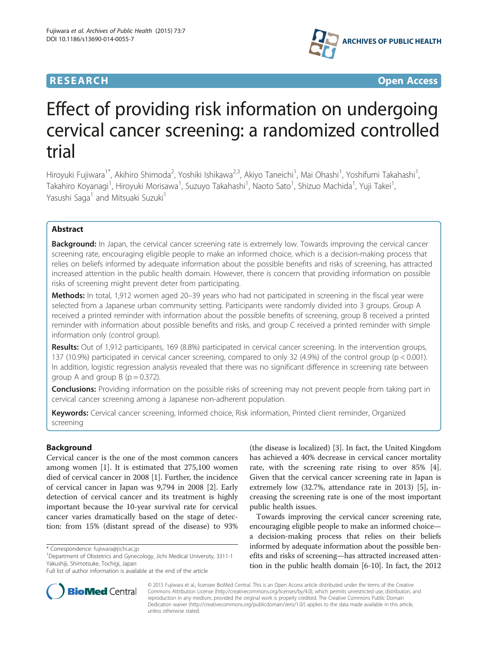## **RESEARCH RESEARCH** *CHECK CHECK CHECK CHECK CHECK CHECK CHECK CHECK CHECK CHECK CHECK CHECK CHECK CHECK CHECK CHECK CHECK CHECK CHECK CHECK CHECK CHECK CHECK CHECK CHECK CHECK CHECK CHECK CHECK CHECK CHECK CHECK CHECK*



# Effect of providing risk information on undergoing cervical cancer screening: a randomized controlled trial

Hiroyuki Fujiwara<sup>1\*</sup>, Akihiro Shimoda<sup>2</sup>, Yoshiki Ishikawa<sup>2,3</sup>, Akiyo Taneichi<sup>1</sup>, Mai Ohashi<sup>1</sup>, Yoshifumi Takahashi<sup>1</sup> , Takahiro Koyanagi<sup>1</sup>, Hiroyuki Morisawa<sup>1</sup>, Suzuyo Takahashi<sup>1</sup>, Naoto Sato<sup>1</sup>, Shizuo Machida<sup>1</sup>, Yuji Takei<sup>1</sup> , Yasushi Saga<sup>1</sup> and Mitsuaki Suzuki<sup>1</sup>

## Abstract

Background: In Japan, the cervical cancer screening rate is extremely low. Towards improving the cervical cancer screening rate, encouraging eligible people to make an informed choice, which is a decision-making process that relies on beliefs informed by adequate information about the possible benefits and risks of screening, has attracted increased attention in the public health domain. However, there is concern that providing information on possible risks of screening might prevent deter from participating.

Methods: In total, 1,912 women aged 20-39 years who had not participated in screening in the fiscal year were selected from a Japanese urban community setting. Participants were randomly divided into 3 groups. Group A received a printed reminder with information about the possible benefits of screening, group B received a printed reminder with information about possible benefits and risks, and group C received a printed reminder with simple information only (control group).

Results: Out of 1,912 participants, 169 (8.8%) participated in cervical cancer screening. In the intervention groups, 137 (10.9%) participated in cervical cancer screening, compared to only 32 (4.9%) of the control group (p < 0.001). In addition, logistic regression analysis revealed that there was no significant difference in screening rate between group A and group B ( $p = 0.372$ ).

**Conclusions:** Providing information on the possible risks of screening may not prevent people from taking part in cervical cancer screening among a Japanese non-adherent population.

Keywords: Cervical cancer screening, Informed choice, Risk information, Printed client reminder, Organized screening

## Background

Cervical cancer is the one of the most common cancers among women [[1\]](#page-4-0). It is estimated that 275,100 women died of cervical cancer in 2008 [[1\]](#page-4-0). Further, the incidence of cervical cancer in Japan was 9,794 in 2008 [[2\]](#page-4-0). Early detection of cervical cancer and its treatment is highly important because the 10-year survival rate for cervical cancer varies dramatically based on the stage of detection: from 15% (distant spread of the disease) to 93%

(the disease is localized) [\[3](#page-4-0)]. In fact, the United Kingdom has achieved a 40% decrease in cervical cancer mortality rate, with the screening rate rising to over 85% [\[4](#page-4-0)]. Given that the cervical cancer screening rate in Japan is extremely low (32.7%, attendance rate in 2013) [\[5](#page-4-0)], increasing the screening rate is one of the most important public health issues.

Towards improving the cervical cancer screening rate, encouraging eligible people to make an informed choice a decision-making process that relies on their beliefs informed by adequate information about the possible benefits and risks of screening—has attracted increased attention in the public health domain [[6](#page-4-0)-[10](#page-4-0)]. In fact, the 2012



© 2015 Fujiwara et al.; licensee BioMed Central. This is an Open Access article distributed under the terms of the Creative Commons Attribution License [\(http://creativecommons.org/licenses/by/4.0\)](http://creativecommons.org/licenses/by/4.0), which permits unrestricted use, distribution, and reproduction in any medium, provided the original work is properly credited. The Creative Commons Public Domain Dedication waiver [\(http://creativecommons.org/publicdomain/zero/1.0/](http://creativecommons.org/publicdomain/zero/1.0/)) applies to the data made available in this article, unless otherwise stated.

<sup>\*</sup> Correspondence: [fujiwara@jichi.ac.jp](mailto:fujiwara@jichi.ac.jp) <sup>1</sup>

<sup>&</sup>lt;sup>1</sup>Department of Obstetrics and Gynecology, Jichi Medical University, 3311-1 Yakushiji, Shimotsuke, Tochigi, Japan

Full list of author information is available at the end of the article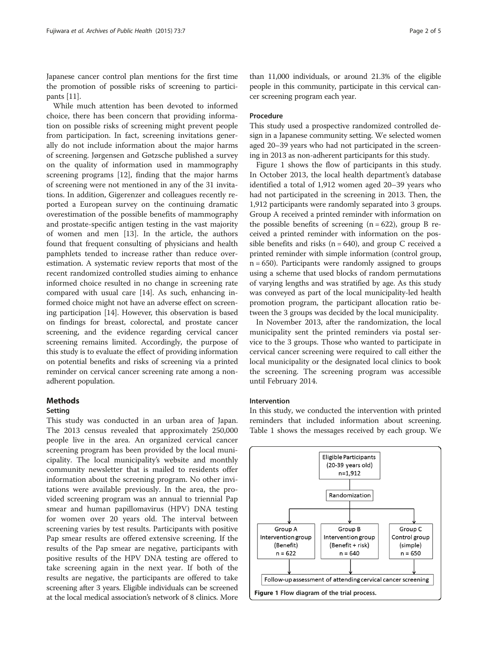Japanese cancer control plan mentions for the first time the promotion of possible risks of screening to participants [\[11\]](#page-4-0).

While much attention has been devoted to informed choice, there has been concern that providing information on possible risks of screening might prevent people from participation. In fact, screening invitations generally do not include information about the major harms of screening. Jørgensen and Gøtzsche published a survey on the quality of information used in mammography screening programs [\[12](#page-4-0)], finding that the major harms of screening were not mentioned in any of the 31 invitations. In addition, Gigerenzer and colleagues recently reported a European survey on the continuing dramatic overestimation of the possible benefits of mammography and prostate-specific antigen testing in the vast majority of women and men [[13\]](#page-4-0). In the article, the authors found that frequent consulting of physicians and health pamphlets tended to increase rather than reduce overestimation. A systematic review reports that most of the recent randomized controlled studies aiming to enhance informed choice resulted in no change in screening rate compared with usual care [\[14\]](#page-4-0). As such, enhancing informed choice might not have an adverse effect on screening participation [\[14\]](#page-4-0). However, this observation is based on findings for breast, colorectal, and prostate cancer screening, and the evidence regarding cervical cancer screening remains limited. Accordingly, the purpose of this study is to evaluate the effect of providing information on potential benefits and risks of screening via a printed reminder on cervical cancer screening rate among a nonadherent population.

## Methods

#### Setting

This study was conducted in an urban area of Japan. The 2013 census revealed that approximately 250,000 people live in the area. An organized cervical cancer screening program has been provided by the local municipality. The local municipality's website and monthly community newsletter that is mailed to residents offer information about the screening program. No other invitations were available previously. In the area, the provided screening program was an annual to triennial Pap smear and human papillomavirus (HPV) DNA testing for women over 20 years old. The interval between screening varies by test results. Participants with positive Pap smear results are offered extensive screening. If the results of the Pap smear are negative, participants with positive results of the HPV DNA testing are offered to take screening again in the next year. If both of the results are negative, the participants are offered to take screening after 3 years. Eligible individuals can be screened at the local medical association's network of 8 clinics. More

than 11,000 individuals, or around 21.3% of the eligible people in this community, participate in this cervical cancer screening program each year.

#### Procedure

This study used a prospective randomized controlled design in a Japanese community setting. We selected women aged 20–39 years who had not participated in the screening in 2013 as non-adherent participants for this study.

Figure 1 shows the flow of participants in this study. In October 2013, the local health department's database identified a total of 1,912 women aged 20–39 years who had not participated in the screening in 2013. Then, the 1,912 participants were randomly separated into 3 groups. Group A received a printed reminder with information on the possible benefits of screening  $(n = 622)$ , group B received a printed reminder with information on the possible benefits and risks ( $n = 640$ ), and group C received a printed reminder with simple information (control group,  $n = 650$ ). Participants were randomly assigned to groups using a scheme that used blocks of random permutations of varying lengths and was stratified by age. As this study was conveyed as part of the local municipality-led health promotion program, the participant allocation ratio between the 3 groups was decided by the local municipality.

In November 2013, after the randomization, the local municipality sent the printed reminders via postal service to the 3 groups. Those who wanted to participate in cervical cancer screening were required to call either the local municipality or the designated local clinics to book the screening. The screening program was accessible until February 2014.

#### Intervention

In this study, we conducted the intervention with printed reminders that included information about screening. Table [1](#page-2-0) shows the messages received by each group. We

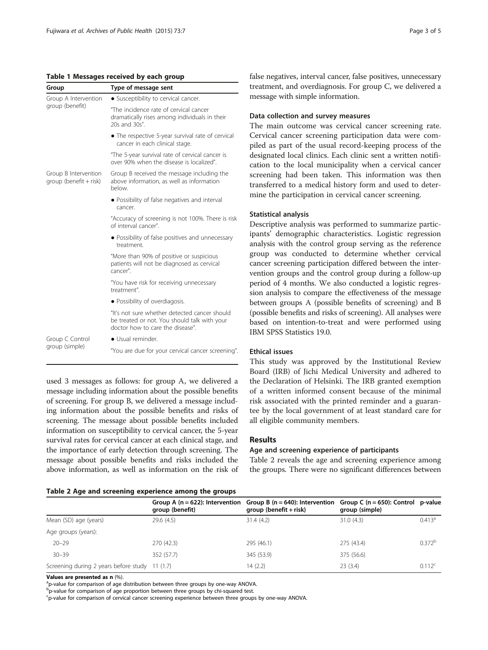#### <span id="page-2-0"></span>Table 1 Messages received by each group

| Group                                          | Type of message sent                                                                                                              |  |
|------------------------------------------------|-----------------------------------------------------------------------------------------------------------------------------------|--|
| Group A Intervention                           | • Susceptibility to cervical cancer.                                                                                              |  |
| group (benefit)                                | "The incidence rate of cervical cancer<br>dramatically rises among individuals in their<br>20s and 30s".                          |  |
|                                                | • The respective 5-year survival rate of cervical<br>cancer in each clinical stage.                                               |  |
|                                                | "The 5-year survival rate of cervical cancer is<br>over 90% when the disease is localized".                                       |  |
| Group B Intervention<br>group (benefit + risk) | Group B received the message including the<br>above information, as well as information<br>below.                                 |  |
|                                                | • Possibility of false negatives and interval<br>cancer.                                                                          |  |
|                                                | "Accuracy of screening is not 100%. There is risk<br>of interval cancer".                                                         |  |
|                                                | • Possibility of false positives and unnecessary<br>treatment.                                                                    |  |
|                                                | "More than 90% of positive or suspicious<br>patients will not be diagnosed as cervical<br>cancer".                                |  |
|                                                | "You have risk for receiving unnecessary<br>treatment".                                                                           |  |
|                                                | • Possibility of overdiagosis.                                                                                                    |  |
|                                                | "It's not sure whether detected cancer should<br>be treated or not. You should talk with your<br>doctor how to care the disease". |  |
| Group C Control                                | · Usual reminder.                                                                                                                 |  |
| group (simple)                                 | "You are due for your cervical cancer screening".                                                                                 |  |

used 3 messages as follows: for group A, we delivered a message including information about the possible benefits of screening. For group B, we delivered a message including information about the possible benefits and risks of screening. The message about possible benefits included information on susceptibility to cervical cancer, the 5-year survival rates for cervical cancer at each clinical stage, and the importance of early detection through screening. The message about possible benefits and risks included the above information, as well as information on the risk of

false negatives, interval cancer, false positives, unnecessary treatment, and overdiagnosis. For group C, we delivered a message with simple information.

#### Data collection and survey measures

The main outcome was cervical cancer screening rate. Cervical cancer screening participation data were compiled as part of the usual record-keeping process of the designated local clinics. Each clinic sent a written notification to the local municipality when a cervical cancer screening had been taken. This information was then transferred to a medical history form and used to determine the participation in cervical cancer screening.

#### Statistical analysis

Descriptive analysis was performed to summarize participants' demographic characteristics. Logistic regression analysis with the control group serving as the reference group was conducted to determine whether cervical cancer screening participation differed between the intervention groups and the control group during a follow-up period of 4 months. We also conducted a logistic regression analysis to compare the effectiveness of the message between groups A (possible benefits of screening) and B (possible benefits and risks of screening). All analyses were based on intention-to-treat and were performed using IBM SPSS Statistics 19.0.

#### Ethical issues

This study was approved by the Institutional Review Board (IRB) of Jichi Medical University and adhered to the Declaration of Helsinki. The IRB granted exemption of a written informed consent because of the minimal risk associated with the printed reminder and a guarantee by the local government of at least standard care for all eligible community members.

## Results

## Age and screening experience of participants

Table 2 reveals the age and screening experience among the groups. There were no significant differences between

#### Table 2 Age and screening experience among the groups

|                                                | group (benefit) | Group A ( $n = 622$ ): Intervention Group B ( $n = 640$ ): Intervention<br>group (benefit + risk) | Group C ( $n = 650$ ): Control p-value<br>group (simple) |             |  |  |  |
|------------------------------------------------|-----------------|---------------------------------------------------------------------------------------------------|----------------------------------------------------------|-------------|--|--|--|
| Mean (SD) age (years)                          | 29.6(4.5)       | 31.4(4.2)                                                                                         | 31.0(4.3)                                                | $0.413^a$   |  |  |  |
| Age groups (years):                            |                 |                                                                                                   |                                                          |             |  |  |  |
| $20 - 29$                                      | 270(42.3)       | 295 (46.1)                                                                                        | 275 (43.4)                                               | $0.372^{b}$ |  |  |  |
| $30 - 39$                                      | 352 (57.7)      | 345 (53.9)                                                                                        | 375 (56.6)                                               |             |  |  |  |
| Screening during 2 years before study 11 (1.7) |                 | 14 (2.2)                                                                                          | 23(3.4)                                                  | $0.112^c$   |  |  |  |

Values are presented as  $n$  (%).

<sup>a</sup>p-value for comparison of age distribution between three groups by one-way ANOVA.

**b**<br>p-value for comparison of age proportion between three groups by chi-squared test.

<sup>c</sup>p-value for comparison of cervical cancer screening experience between three groups by one-way ANOVA.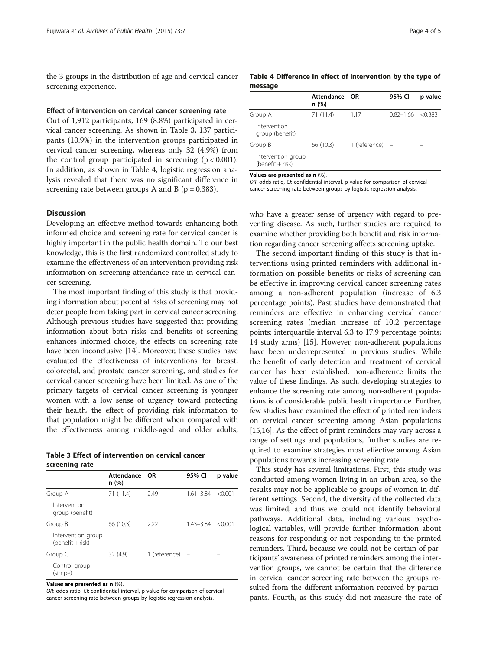the 3 groups in the distribution of age and cervical cancer screening experience.

## Effect of intervention on cervical cancer screening rate

Out of 1,912 participants, 169 (8.8%) participated in cervical cancer screening. As shown in Table 3, 137 participants (10.9%) in the intervention groups participated in cervical cancer screening, whereas only 32 (4.9%) from the control group participated in screening  $(p < 0.001)$ . In addition, as shown in Table 4, logistic regression analysis revealed that there was no significant difference in screening rate between groups A and B ( $p = 0.383$ ).

## Discussion

Developing an effective method towards enhancing both informed choice and screening rate for cervical cancer is highly important in the public health domain. To our best knowledge, this is the first randomized controlled study to examine the effectiveness of an intervention providing risk information on screening attendance rate in cervical cancer screening.

The most important finding of this study is that providing information about potential risks of screening may not deter people from taking part in cervical cancer screening. Although previous studies have suggested that providing information about both risks and benefits of screening enhances informed choice, the effects on screening rate have been inconclusive [[14](#page-4-0)]. Moreover, these studies have evaluated the effectiveness of interventions for breast, colorectal, and prostate cancer screening, and studies for cervical cancer screening have been limited. As one of the primary targets of cervical cancer screening is younger women with a low sense of urgency toward protecting their health, the effect of providing risk information to that population might be different when compared with the effectiveness among middle-aged and older adults,

|                | Table 3 Effect of intervention on cervical cancer |  |  |
|----------------|---------------------------------------------------|--|--|
| screening rate |                                                   |  |  |

|                                        | Attendance<br>n(%) | OR              | 95% CI        | p value |
|----------------------------------------|--------------------|-----------------|---------------|---------|
| Group A                                | 71 (11.4)          | 2.49            | $1.61 - 3.84$ | < 0.001 |
| Intervention<br>group (benefit)        |                    |                 |               |         |
| Group B                                | 66 (10.3)          | 2.22            | $1.43 - 3.84$ | < 0.001 |
| Intervention group<br>(benefit + risk) |                    |                 |               |         |
| Group C                                | 32 (4.9)           | 1 (reference) – |               |         |
| Control group<br>(simpe)               |                    |                 |               |         |

Values are presented as n (%).

OR: odds ratio, CI: confidential interval, p-value for comparison of cervical cancer screening rate between groups by logistic regression analysis.

#### Table 4 Difference in effect of intervention by the type of message

|                                        | Attendance OR<br>n (%) |                   | 95% CI                | p value |
|----------------------------------------|------------------------|-------------------|-----------------------|---------|
| Group A                                | 71 (11.4)              | 1.17              | $0.82 - 1.66 < 0.383$ |         |
| Intervention<br>group (benefit)        |                        |                   |                       |         |
| Group B                                | 66 (10.3)              | 1 (reference) $-$ |                       |         |
| Intervention group<br>(benefit + risk) |                        |                   |                       |         |
|                                        |                        |                   |                       |         |

Values are presented as n (%).

OR: odds ratio, CI: confidential interval, p-value for comparison of cervical cancer screening rate between groups by logistic regression analysis.

who have a greater sense of urgency with regard to preventing disease. As such, further studies are required to examine whether providing both benefit and risk information regarding cancer screening affects screening uptake.

The second important finding of this study is that interventions using printed reminders with additional information on possible benefits or risks of screening can be effective in improving cervical cancer screening rates among a non-adherent population (increase of 6.3 percentage points). Past studies have demonstrated that reminders are effective in enhancing cervical cancer screening rates (median increase of 10.2 percentage points: interquartile interval 6.3 to 17.9 percentage points; 14 study arms) [\[15](#page-4-0)]. However, non-adherent populations have been underrepresented in previous studies. While the benefit of early detection and treatment of cervical cancer has been established, non-adherence limits the value of these findings. As such, developing strategies to enhance the screening rate among non-adherent populations is of considerable public health importance. Further, few studies have examined the effect of printed reminders on cervical cancer screening among Asian populations [[15](#page-4-0),[16](#page-4-0)]. As the effect of print reminders may vary across a range of settings and populations, further studies are required to examine strategies most effective among Asian populations towards increasing screening rate.

This study has several limitations. First, this study was conducted among women living in an urban area, so the results may not be applicable to groups of women in different settings. Second, the diversity of the collected data was limited, and thus we could not identify behavioral pathways. Additional data, including various psychological variables, will provide further information about reasons for responding or not responding to the printed reminders. Third, because we could not be certain of participants' awareness of printed reminders among the intervention groups, we cannot be certain that the difference in cervical cancer screening rate between the groups resulted from the different information received by participants. Fourth, as this study did not measure the rate of